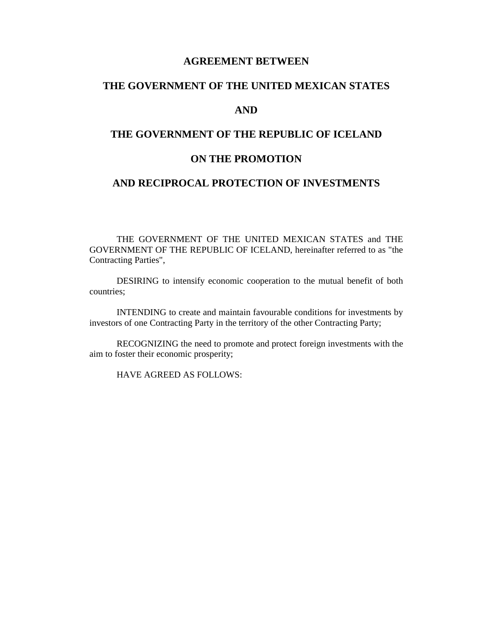# **AGREEMENT BETWEEN**

# **THE GOVERNMENT OF THE UNITED MEXICAN STATES**

# **AND**

# **THE GOVERNMENT OF THE REPUBLIC OF ICELAND**

# **ON THE PROMOTION**

# **AND RECIPROCAL PROTECTION OF INVESTMENTS**

 THE GOVERNMENT OF THE UNITED MEXICAN STATES and THE GOVERNMENT OF THE REPUBLIC OF ICELAND, hereinafter referred to as "the Contracting Parties",

 DESIRING to intensify economic cooperation to the mutual benefit of both countries;

 INTENDING to create and maintain favourable conditions for investments by investors of one Contracting Party in the territory of the other Contracting Party;

 RECOGNIZING the need to promote and protect foreign investments with the aim to foster their economic prosperity;

HAVE AGREED AS FOLLOWS: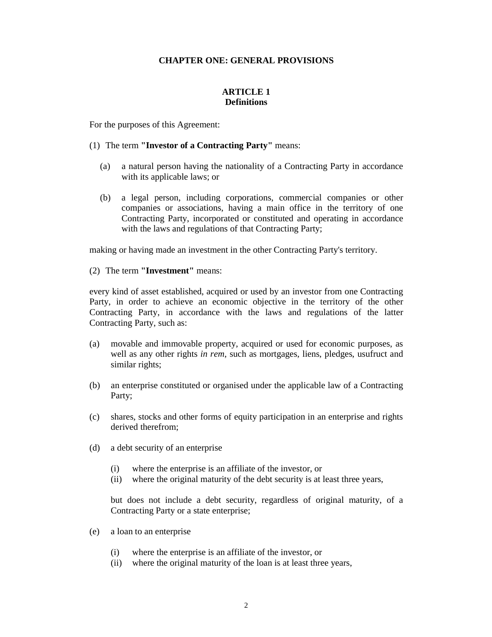# **CHAPTER ONE: GENERAL PROVISIONS**

# **ARTICLE 1 Definitions**

For the purposes of this Agreement:

- (1) The term **"Investor of a Contracting Party"** means:
	- (a) a natural person having the nationality of a Contracting Party in accordance with its applicable laws; or
	- (b) a legal person, including corporations, commercial companies or other companies or associations, having a main office in the territory of one Contracting Party, incorporated or constituted and operating in accordance with the laws and regulations of that Contracting Party;

making or having made an investment in the other Contracting Party's territory.

(2) The term **"Investment"** means:

every kind of asset established, acquired or used by an investor from one Contracting Party, in order to achieve an economic objective in the territory of the other Contracting Party, in accordance with the laws and regulations of the latter Contracting Party, such as:

- (a) movable and immovable property, acquired or used for economic purposes, as well as any other rights *in rem*, such as mortgages, liens, pledges, usufruct and similar rights;
- (b) an enterprise constituted or organised under the applicable law of a Contracting Party;
- (c) shares, stocks and other forms of equity participation in an enterprise and rights derived therefrom;
- (d) a debt security of an enterprise
	- (i) where the enterprise is an affiliate of the investor, or
	- (ii) where the original maturity of the debt security is at least three years,

but does not include a debt security, regardless of original maturity, of a Contracting Party or a state enterprise;

- (e) a loan to an enterprise
	- (i) where the enterprise is an affiliate of the investor, or
	- (ii) where the original maturity of the loan is at least three years,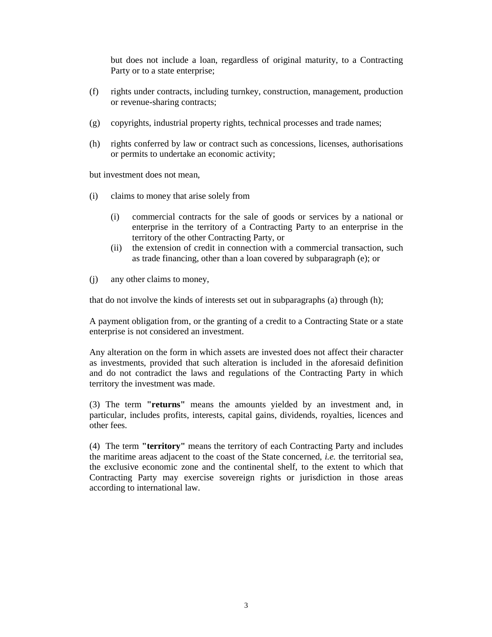but does not include a loan, regardless of original maturity, to a Contracting Party or to a state enterprise;

- (f) rights under contracts, including turnkey, construction, management, production or revenue-sharing contracts;
- (g) copyrights, industrial property rights, technical processes and trade names;
- (h) rights conferred by law or contract such as concessions, licenses, authorisations or permits to undertake an economic activity;

but investment does not mean,

- (i) claims to money that arise solely from
	- (i) commercial contracts for the sale of goods or services by a national or enterprise in the territory of a Contracting Party to an enterprise in the territory of the other Contracting Party, or
	- (ii) the extension of credit in connection with a commercial transaction, such as trade financing, other than a loan covered by subparagraph (e); or
- (j) any other claims to money,

that do not involve the kinds of interests set out in subparagraphs (a) through (h);

A payment obligation from, or the granting of a credit to a Contracting State or a state enterprise is not considered an investment.

Any alteration on the form in which assets are invested does not affect their character as investments, provided that such alteration is included in the aforesaid definition and do not contradict the laws and regulations of the Contracting Party in which territory the investment was made.

(3) The term **"returns"** means the amounts yielded by an investment and, in particular, includes profits, interests, capital gains, dividends, royalties, licences and other fees.

(4) The term **"territory"** means the territory of each Contracting Party and includes the maritime areas adjacent to the coast of the State concerned, *i.e.* the territorial sea, the exclusive economic zone and the continental shelf, to the extent to which that Contracting Party may exercise sovereign rights or jurisdiction in those areas according to international law.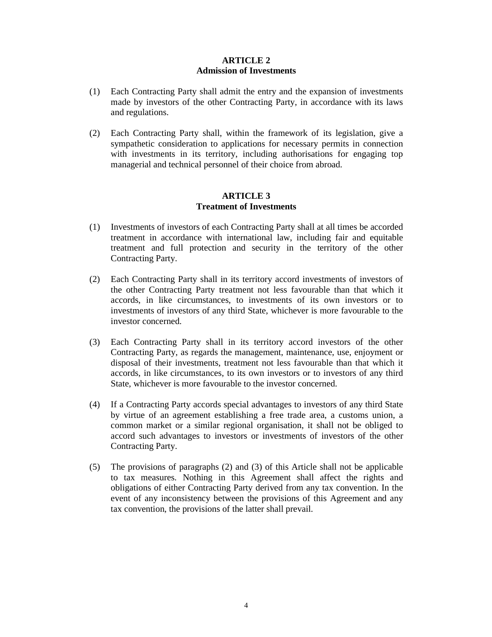# **ARTICLE 2 Admission of Investments**

- (1) Each Contracting Party shall admit the entry and the expansion of investments made by investors of the other Contracting Party, in accordance with its laws and regulations.
- (2) Each Contracting Party shall, within the framework of its legislation, give a sympathetic consideration to applications for necessary permits in connection with investments in its territory, including authorisations for engaging top managerial and technical personnel of their choice from abroad.

## **ARTICLE 3 Treatment of Investments**

- (1) Investments of investors of each Contracting Party shall at all times be accorded treatment in accordance with international law, including fair and equitable treatment and full protection and security in the territory of the other Contracting Party.
- (2) Each Contracting Party shall in its territory accord investments of investors of the other Contracting Party treatment not less favourable than that which it accords, in like circumstances, to investments of its own investors or to investments of investors of any third State, whichever is more favourable to the investor concerned.
- (3) Each Contracting Party shall in its territory accord investors of the other Contracting Party, as regards the management, maintenance, use, enjoyment or disposal of their investments, treatment not less favourable than that which it accords, in like circumstances, to its own investors or to investors of any third State, whichever is more favourable to the investor concerned.
- (4) If a Contracting Party accords special advantages to investors of any third State by virtue of an agreement establishing a free trade area, a customs union, a common market or a similar regional organisation, it shall not be obliged to accord such advantages to investors or investments of investors of the other Contracting Party.
- (5) The provisions of paragraphs (2) and (3) of this Article shall not be applicable to tax measures. Nothing in this Agreement shall affect the rights and obligations of either Contracting Party derived from any tax convention. In the event of any inconsistency between the provisions of this Agreement and any tax convention, the provisions of the latter shall prevail.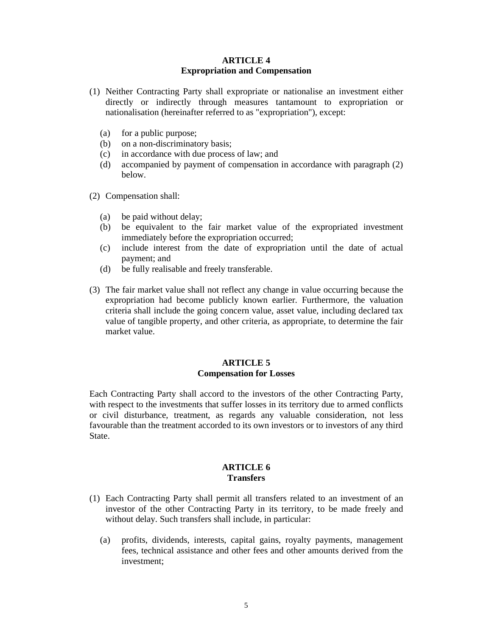#### **ARTICLE 4 Expropriation and Compensation**

- (1) Neither Contracting Party shall expropriate or nationalise an investment either directly or indirectly through measures tantamount to expropriation or nationalisation (hereinafter referred to as "expropriation"), except:
	- (a) for a public purpose;
	- (b) on a non-discriminatory basis;
	- (c) in accordance with due process of law; and
	- (d) accompanied by payment of compensation in accordance with paragraph (2) below.
- (2) Compensation shall:
	- (a) be paid without delay;
	- (b) be equivalent to the fair market value of the expropriated investment immediately before the expropriation occurred;
	- (c) include interest from the date of expropriation until the date of actual payment; and
	- (d) be fully realisable and freely transferable.
- (3) The fair market value shall not reflect any change in value occurring because the expropriation had become publicly known earlier. Furthermore, the valuation criteria shall include the going concern value, asset value, including declared tax value of tangible property, and other criteria, as appropriate, to determine the fair market value.

#### **ARTICLE 5 Compensation for Losses**

Each Contracting Party shall accord to the investors of the other Contracting Party, with respect to the investments that suffer losses in its territory due to armed conflicts or civil disturbance, treatment, as regards any valuable consideration, not less favourable than the treatment accorded to its own investors or to investors of any third **State** 

#### **ARTICLE 6 Transfers**

- (1) Each Contracting Party shall permit all transfers related to an investment of an investor of the other Contracting Party in its territory, to be made freely and without delay. Such transfers shall include, in particular:
	- (a) profits, dividends, interests, capital gains, royalty payments, management fees, technical assistance and other fees and other amounts derived from the investment;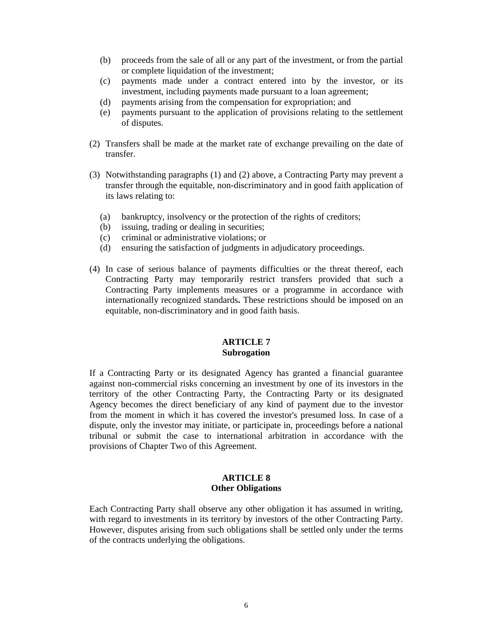- (b) proceeds from the sale of all or any part of the investment, or from the partial or complete liquidation of the investment;
- (c) payments made under a contract entered into by the investor, or its investment, including payments made pursuant to a loan agreement;
- (d) payments arising from the compensation for expropriation; and
- (e) payments pursuant to the application of provisions relating to the settlement of disputes.
- (2) Transfers shall be made at the market rate of exchange prevailing on the date of transfer.
- (3) Notwithstanding paragraphs (1) and (2) above, a Contracting Party may prevent a transfer through the equitable, non-discriminatory and in good faith application of its laws relating to:
	- (a) bankruptcy, insolvency or the protection of the rights of creditors;
	- (b) issuing, trading or dealing in securities;
	- (c) criminal or administrative violations; or
	- (d) ensuring the satisfaction of judgments in adjudicatory proceedings.
- (4) In case of serious balance of payments difficulties or the threat thereof, each Contracting Party may temporarily restrict transfers provided that such a Contracting Party implements measures or a programme in accordance with internationally recognized standards**.** These restrictions should be imposed on an equitable, non-discriminatory and in good faith basis.

#### **ARTICLE 7 Subrogation**

If a Contracting Party or its designated Agency has granted a financial guarantee against non-commercial risks concerning an investment by one of its investors in the territory of the other Contracting Party, the Contracting Party or its designated Agency becomes the direct beneficiary of any kind of payment due to the investor from the moment in which it has covered the investor's presumed loss. In case of a dispute, only the investor may initiate, or participate in, proceedings before a national tribunal or submit the case to international arbitration in accordance with the provisions of Chapter Two of this Agreement.

## **ARTICLE 8 Other Obligations**

Each Contracting Party shall observe any other obligation it has assumed in writing, with regard to investments in its territory by investors of the other Contracting Party. However, disputes arising from such obligations shall be settled only under the terms of the contracts underlying the obligations.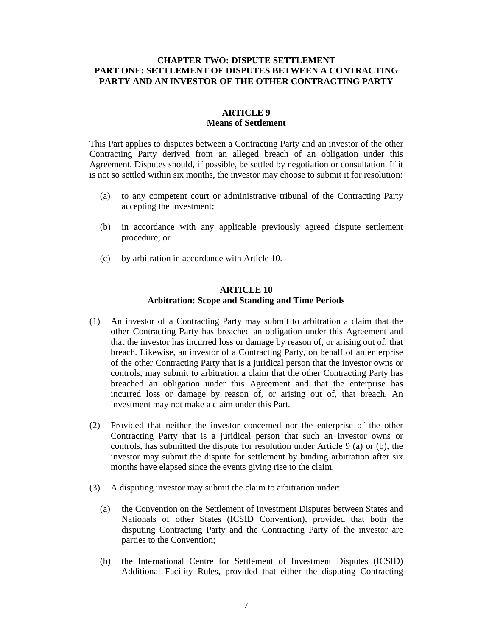# **CHAPTER TWO: DISPUTE SETTLEMENT PART ONE: SETTLEMENT OF DISPUTES BETWEEN A CONTRACTING PARTY AND AN INVESTOR OF THE OTHER CONTRACTING PARTY**

## **ARTICLE 9 Means of Settlement**

This Part applies to disputes between a Contracting Party and an investor of the other Contracting Party derived from an alleged breach of an obligation under this Agreement. Disputes should, if possible, be settled by negotiation or consultation. If it is not so settled within six months, the investor may choose to submit it for resolution:

- (a) to any competent court or administrative tribunal of the Contracting Party accepting the investment;
- (b) in accordance with any applicable previously agreed dispute settlement procedure; or
- (c) by arbitration in accordance with Article 10.

#### **ARTICLE 10 Arbitration: Scope and Standing and Time Periods**

- (1) An investor of a Contracting Party may submit to arbitration a claim that the other Contracting Party has breached an obligation under this Agreement and that the investor has incurred loss or damage by reason of, or arising out of, that breach. Likewise, an investor of a Contracting Party, on behalf of an enterprise of the other Contracting Party that is a juridical person that the investor owns or controls, may submit to arbitration a claim that the other Contracting Party has breached an obligation under this Agreement and that the enterprise has incurred loss or damage by reason of, or arising out of, that breach. An investment may not make a claim under this Part.
- (2) Provided that neither the investor concerned nor the enterprise of the other Contracting Party that is a juridical person that such an investor owns or controls, has submitted the dispute for resolution under Article 9 (a) or (b), the investor may submit the dispute for settlement by binding arbitration after six months have elapsed since the events giving rise to the claim.
- (3) A disputing investor may submit the claim to arbitration under:
	- (a) the Convention on the Settlement of Investment Disputes between States and Nationals of other States (ICSID Convention), provided that both the disputing Contracting Party and the Contracting Party of the investor are parties to the Convention;
	- (b) the International Centre for Settlement of Investment Disputes (ICSID) Additional Facility Rules, provided that either the disputing Contracting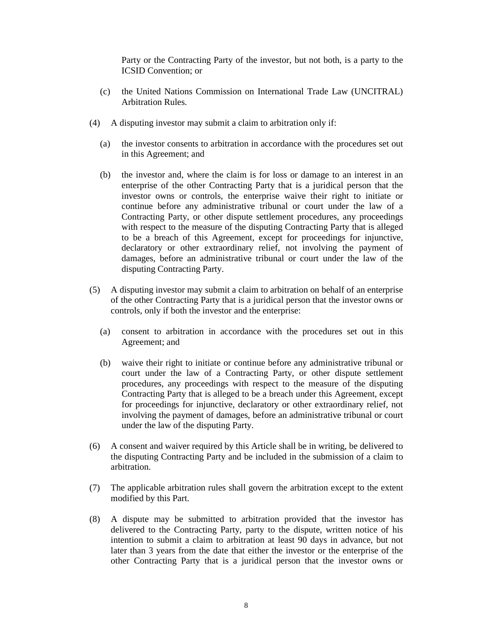Party or the Contracting Party of the investor, but not both, is a party to the ICSID Convention; or

- (c) the United Nations Commission on International Trade Law (UNCITRAL) Arbitration Rules.
- (4) A disputing investor may submit a claim to arbitration only if:
	- (a) the investor consents to arbitration in accordance with the procedures set out in this Agreement; and
	- (b) the investor and, where the claim is for loss or damage to an interest in an enterprise of the other Contracting Party that is a juridical person that the investor owns or controls, the enterprise waive their right to initiate or continue before any administrative tribunal or court under the law of a Contracting Party, or other dispute settlement procedures, any proceedings with respect to the measure of the disputing Contracting Party that is alleged to be a breach of this Agreement, except for proceedings for injunctive, declaratory or other extraordinary relief, not involving the payment of damages, before an administrative tribunal or court under the law of the disputing Contracting Party.
- (5) A disputing investor may submit a claim to arbitration on behalf of an enterprise of the other Contracting Party that is a juridical person that the investor owns or controls, only if both the investor and the enterprise:
	- (a) consent to arbitration in accordance with the procedures set out in this Agreement; and
	- (b) waive their right to initiate or continue before any administrative tribunal or court under the law of a Contracting Party, or other dispute settlement procedures, any proceedings with respect to the measure of the disputing Contracting Party that is alleged to be a breach under this Agreement, except for proceedings for injunctive, declaratory or other extraordinary relief, not involving the payment of damages, before an administrative tribunal or court under the law of the disputing Party.
- (6) A consent and waiver required by this Article shall be in writing, be delivered to the disputing Contracting Party and be included in the submission of a claim to arbitration.
- (7) The applicable arbitration rules shall govern the arbitration except to the extent modified by this Part.
- (8) A dispute may be submitted to arbitration provided that the investor has delivered to the Contracting Party, party to the dispute, written notice of his intention to submit a claim to arbitration at least 90 days in advance, but not later than 3 years from the date that either the investor or the enterprise of the other Contracting Party that is a juridical person that the investor owns or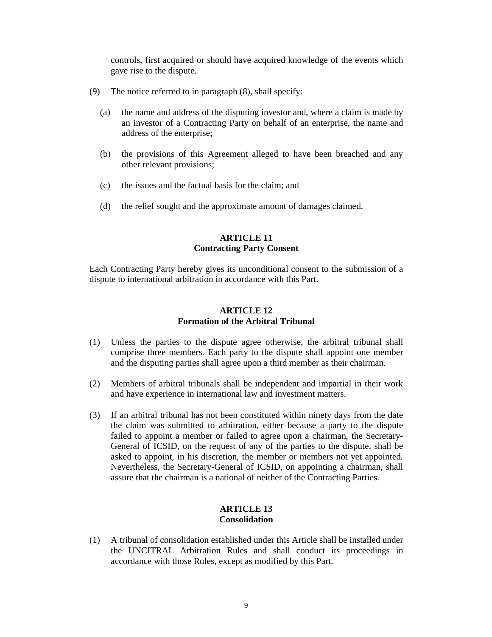controls, first acquired or should have acquired knowledge of the events which gave rise to the dispute.

- (9) The notice referred to in paragraph (8), shall specify:
	- (a) the name and address of the disputing investor and, where a claim is made by an investor of a Contracting Party on behalf of an enterprise, the name and address of the enterprise;
	- (b) the provisions of this Agreement alleged to have been breached and any other relevant provisions;
	- (c) the issues and the factual basis for the claim; and
	- (d) the relief sought and the approximate amount of damages claimed.

# **ARTICLE 11 Contracting Party Consent**

Each Contracting Party hereby gives its unconditional consent to the submission of a dispute to international arbitration in accordance with this Part.

# **ARTICLE 12 Formation of the Arbitral Tribunal**

- (1) Unless the parties to the dispute agree otherwise, the arbitral tribunal shall comprise three members. Each party to the dispute shall appoint one member and the disputing parties shall agree upon a third member as their chairman.
- (2) Members of arbitral tribunals shall be independent and impartial in their work and have experience in international law and investment matters.
- (3) If an arbitral tribunal has not been constituted within ninety days from the date the claim was submitted to arbitration, either because a party to the dispute failed to appoint a member or failed to agree upon a chairman, the Secretary-General of ICSID, on the request of any of the parties to the dispute, shall be asked to appoint, in his discretion, the member or members not yet appointed. Nevertheless, the Secretary-General of ICSID, on appointing a chairman, shall assure that the chairman is a national of neither of the Contracting Parties.

# **ARTICLE 13 Consolidation**

(1) A tribunal of consolidation established under this Article shall be installed under the UNCITRAL Arbitration Rules and shall conduct its proceedings in accordance with those Rules, except as modified by this Part.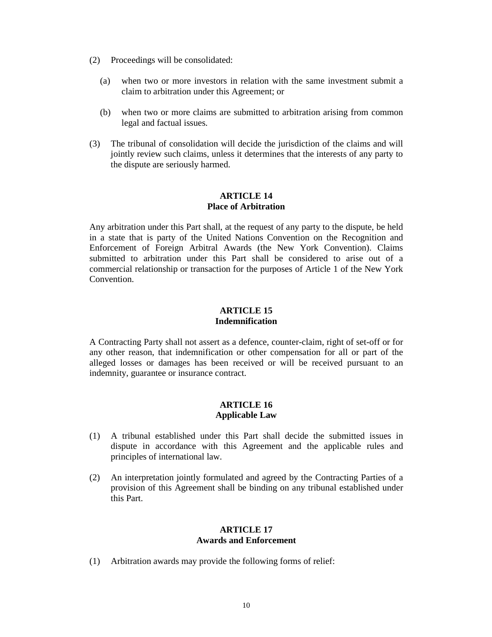- (2) Proceedings will be consolidated:
	- (a) when two or more investors in relation with the same investment submit a claim to arbitration under this Agreement; or
	- (b) when two or more claims are submitted to arbitration arising from common legal and factual issues.
- (3) The tribunal of consolidation will decide the jurisdiction of the claims and will jointly review such claims, unless it determines that the interests of any party to the dispute are seriously harmed.

### **ARTICLE 14 Place of Arbitration**

Any arbitration under this Part shall, at the request of any party to the dispute, be held in a state that is party of the United Nations Convention on the Recognition and Enforcement of Foreign Arbitral Awards (the New York Convention). Claims submitted to arbitration under this Part shall be considered to arise out of a commercial relationship or transaction for the purposes of Article 1 of the New York Convention.

## **ARTICLE 15 Indemnification**

A Contracting Party shall not assert as a defence, counter-claim, right of set-off or for any other reason, that indemnification or other compensation for all or part of the alleged losses or damages has been received or will be received pursuant to an indemnity, guarantee or insurance contract.

#### **ARTICLE 16 Applicable Law**

- (1) A tribunal established under this Part shall decide the submitted issues in dispute in accordance with this Agreement and the applicable rules and principles of international law.
- (2) An interpretation jointly formulated and agreed by the Contracting Parties of a provision of this Agreement shall be binding on any tribunal established under this Part.

### **ARTICLE 17 Awards and Enforcement**

(1) Arbitration awards may provide the following forms of relief: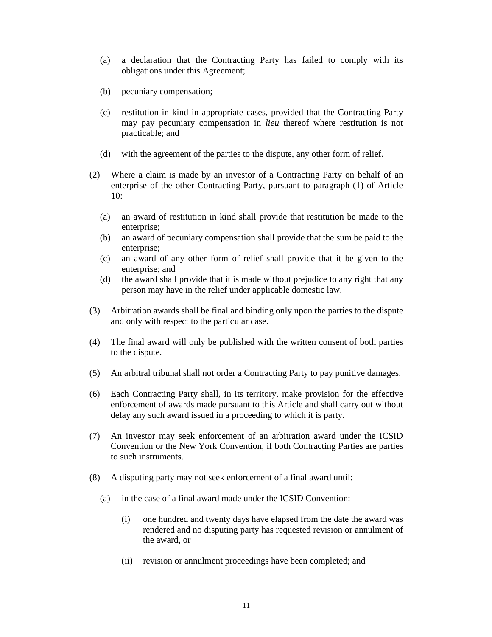- (a) a declaration that the Contracting Party has failed to comply with its obligations under this Agreement;
- (b) pecuniary compensation;
- (c) restitution in kind in appropriate cases, provided that the Contracting Party may pay pecuniary compensation in *lieu* thereof where restitution is not practicable; and
- (d) with the agreement of the parties to the dispute, any other form of relief.
- (2) Where a claim is made by an investor of a Contracting Party on behalf of an enterprise of the other Contracting Party, pursuant to paragraph (1) of Article 10:
	- (a) an award of restitution in kind shall provide that restitution be made to the enterprise:
	- (b) an award of pecuniary compensation shall provide that the sum be paid to the enterprise;
	- (c) an award of any other form of relief shall provide that it be given to the enterprise; and
	- (d) the award shall provide that it is made without prejudice to any right that any person may have in the relief under applicable domestic law.
- (3) Arbitration awards shall be final and binding only upon the parties to the dispute and only with respect to the particular case.
- (4) The final award will only be published with the written consent of both parties to the dispute.
- (5) An arbitral tribunal shall not order a Contracting Party to pay punitive damages.
- (6) Each Contracting Party shall, in its territory, make provision for the effective enforcement of awards made pursuant to this Article and shall carry out without delay any such award issued in a proceeding to which it is party.
- (7) An investor may seek enforcement of an arbitration award under the ICSID Convention or the New York Convention, if both Contracting Parties are parties to such instruments.
- (8) A disputing party may not seek enforcement of a final award until:
	- (a) in the case of a final award made under the ICSID Convention:
		- (i) one hundred and twenty days have elapsed from the date the award was rendered and no disputing party has requested revision or annulment of the award, or
		- (ii) revision or annulment proceedings have been completed; and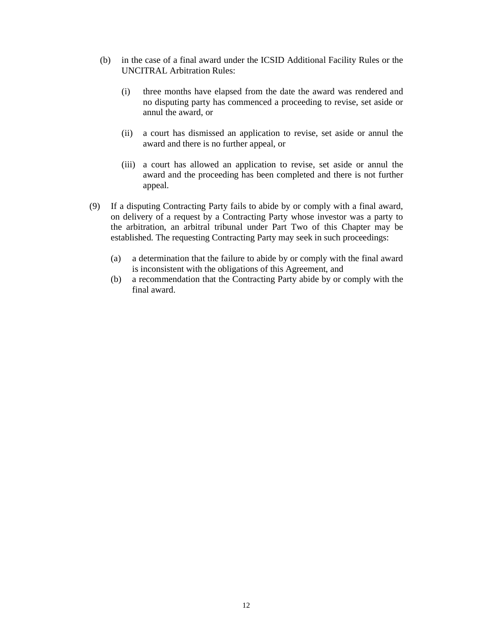- (b) in the case of a final award under the ICSID Additional Facility Rules or the UNCITRAL Arbitration Rules:
	- (i) three months have elapsed from the date the award was rendered and no disputing party has commenced a proceeding to revise, set aside or annul the award, or
	- (ii) a court has dismissed an application to revise, set aside or annul the award and there is no further appeal, or
	- (iii) a court has allowed an application to revise, set aside or annul the award and the proceeding has been completed and there is not further appeal.
- (9) If a disputing Contracting Party fails to abide by or comply with a final award, on delivery of a request by a Contracting Party whose investor was a party to the arbitration, an arbitral tribunal under Part Two of this Chapter may be established. The requesting Contracting Party may seek in such proceedings:
	- (a) a determination that the failure to abide by or comply with the final award is inconsistent with the obligations of this Agreement, and
	- (b) a recommendation that the Contracting Party abide by or comply with the final award.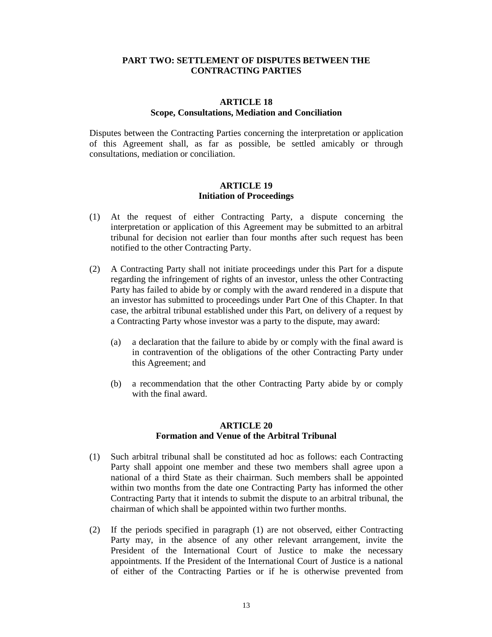## **PART TWO: SETTLEMENT OF DISPUTES BETWEEN THE CONTRACTING PARTIES**

# **ARTICLE 18 Scope, Consultations, Mediation and Conciliation**

Disputes between the Contracting Parties concerning the interpretation or application of this Agreement shall, as far as possible, be settled amicably or through consultations, mediation or conciliation.

## **ARTICLE 19 Initiation of Proceedings**

- (1) At the request of either Contracting Party, a dispute concerning the interpretation or application of this Agreement may be submitted to an arbitral tribunal for decision not earlier than four months after such request has been notified to the other Contracting Party.
- (2) A Contracting Party shall not initiate proceedings under this Part for a dispute regarding the infringement of rights of an investor, unless the other Contracting Party has failed to abide by or comply with the award rendered in a dispute that an investor has submitted to proceedings under Part One of this Chapter. In that case, the arbitral tribunal established under this Part, on delivery of a request by a Contracting Party whose investor was a party to the dispute, may award:
	- (a) a declaration that the failure to abide by or comply with the final award is in contravention of the obligations of the other Contracting Party under this Agreement; and
	- (b) a recommendation that the other Contracting Party abide by or comply with the final award.

# **ARTICLE 20 Formation and Venue of the Arbitral Tribunal**

- (1) Such arbitral tribunal shall be constituted ad hoc as follows: each Contracting Party shall appoint one member and these two members shall agree upon a national of a third State as their chairman. Such members shall be appointed within two months from the date one Contracting Party has informed the other Contracting Party that it intends to submit the dispute to an arbitral tribunal, the chairman of which shall be appointed within two further months.
- (2) If the periods specified in paragraph (1) are not observed, either Contracting Party may, in the absence of any other relevant arrangement, invite the President of the International Court of Justice to make the necessary appointments. If the President of the International Court of Justice is a national of either of the Contracting Parties or if he is otherwise prevented from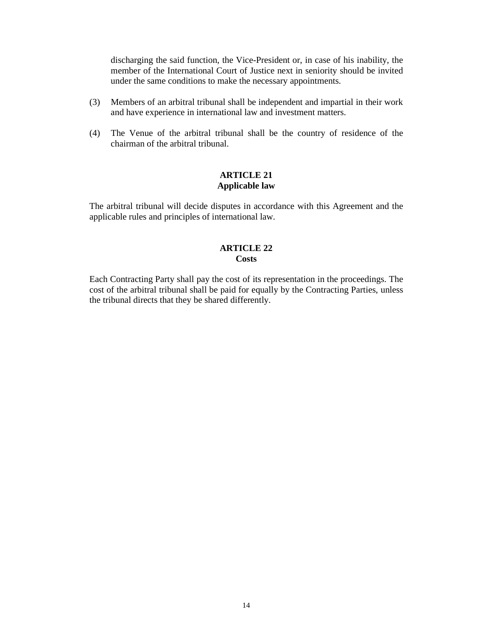discharging the said function, the Vice-President or, in case of his inability, the member of the International Court of Justice next in seniority should be invited under the same conditions to make the necessary appointments.

- (3) Members of an arbitral tribunal shall be independent and impartial in their work and have experience in international law and investment matters.
- (4) The Venue of the arbitral tribunal shall be the country of residence of the chairman of the arbitral tribunal.

# **ARTICLE 21 Applicable law**

The arbitral tribunal will decide disputes in accordance with this Agreement and the applicable rules and principles of international law.

#### **ARTICLE 22 Costs**

Each Contracting Party shall pay the cost of its representation in the proceedings. The cost of the arbitral tribunal shall be paid for equally by the Contracting Parties, unless the tribunal directs that they be shared differently.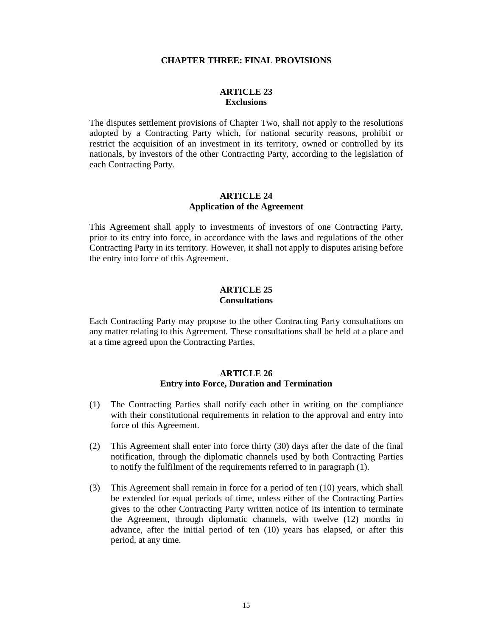#### **CHAPTER THREE: FINAL PROVISIONS**

#### **ARTICLE 23 Exclusions**

The disputes settlement provisions of Chapter Two, shall not apply to the resolutions adopted by a Contracting Party which, for national security reasons, prohibit or restrict the acquisition of an investment in its territory, owned or controlled by its nationals, by investors of the other Contracting Party, according to the legislation of each Contracting Party.

#### **ARTICLE 24 Application of the Agreement**

This Agreement shall apply to investments of investors of one Contracting Party, prior to its entry into force, in accordance with the laws and regulations of the other Contracting Party in its territory. However, it shall not apply to disputes arising before the entry into force of this Agreement.

#### **ARTICLE 25 Consultations**

Each Contracting Party may propose to the other Contracting Party consultations on any matter relating to this Agreement. These consultations shall be held at a place and at a time agreed upon the Contracting Parties.

#### **ARTICLE 26 Entry into Force, Duration and Termination**

- (1) The Contracting Parties shall notify each other in writing on the compliance with their constitutional requirements in relation to the approval and entry into force of this Agreement.
- (2) This Agreement shall enter into force thirty (30) days after the date of the final notification, through the diplomatic channels used by both Contracting Parties to notify the fulfilment of the requirements referred to in paragraph (1).
- (3) This Agreement shall remain in force for a period of ten (10) years, which shall be extended for equal periods of time, unless either of the Contracting Parties gives to the other Contracting Party written notice of its intention to terminate the Agreement, through diplomatic channels, with twelve (12) months in advance, after the initial period of ten (10) years has elapsed, or after this period, at any time.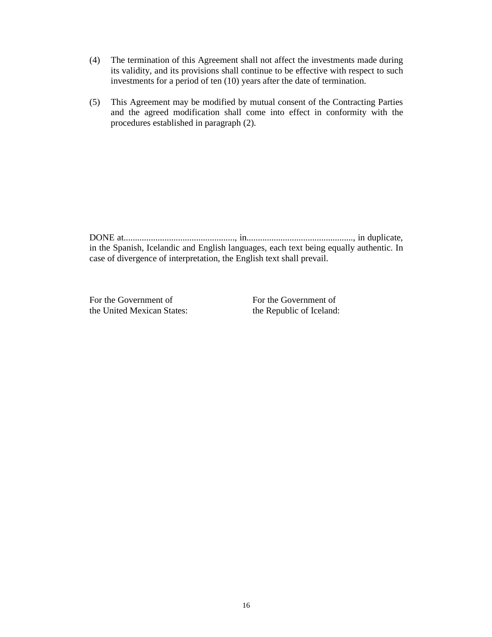- (4) The termination of this Agreement shall not affect the investments made during its validity, and its provisions shall continue to be effective with respect to such investments for a period of ten (10) years after the date of termination.
- (5) This Agreement may be modified by mutual consent of the Contracting Parties and the agreed modification shall come into effect in conformity with the procedures established in paragraph (2).

DONE at................................................., in..............................................., in duplicate, in the Spanish, Icelandic and English languages, each text being equally authentic. In case of divergence of interpretation, the English text shall prevail.

For the Government of For the Government of the United Mexican States: the Republic of Iceland: